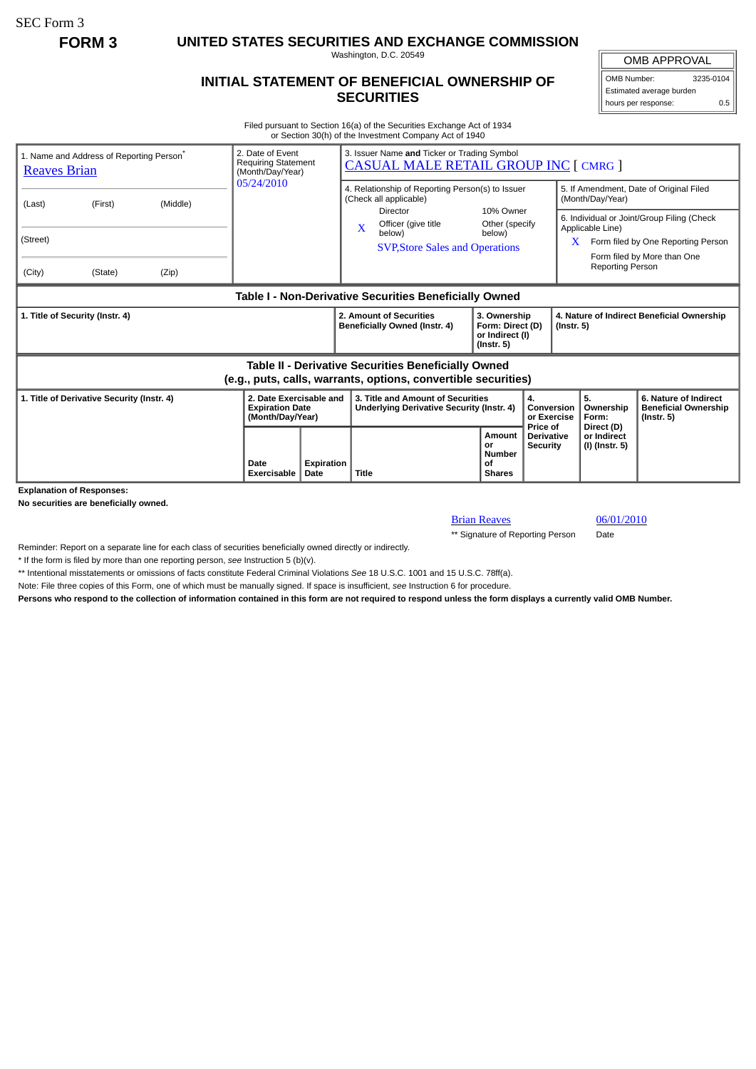SEC Form 3

**FORM 3 UNITED STATES SECURITIES AND EXCHANGE COMMISSION**

Washington, D.C. 20549

## **INITIAL STATEMENT OF BENEFICIAL OWNERSHIP OF SECURITIES**

OMB APPROVAL OMB Number: 3235-0104

Estimated average burden hours per response: 0.5

Filed pursuant to Section 16(a) of the Securities Exchange Act of 1934 or Section 30(h) of the Investment Company Act of 1940

| 1. Name and Address of Reporting Person <sup>®</sup><br><b>Reaves Brian</b>                                                  |                     |       | 2. Date of Event<br><b>Requiring Statement</b><br>(Month/Day/Year)    |                           | 3. Issuer Name and Ticker or Trading Symbol<br><b>CASUAL MALE RETAIL GROUP INC [ CMRG ]</b> |  |                                                                         |                                           |                                                                                                                                                                      |                                             |                                                                          |
|------------------------------------------------------------------------------------------------------------------------------|---------------------|-------|-----------------------------------------------------------------------|---------------------------|---------------------------------------------------------------------------------------------|--|-------------------------------------------------------------------------|-------------------------------------------|----------------------------------------------------------------------------------------------------------------------------------------------------------------------|---------------------------------------------|--------------------------------------------------------------------------|
| (Last)                                                                                                                       | (First)<br>(Middle) |       | 05/24/2010                                                            |                           | 4. Relationship of Reporting Person(s) to Issuer<br>(Check all applicable)<br>Director      |  | 10% Owner                                                               |                                           | 5. If Amendment, Date of Original Filed<br>(Month/Day/Year)                                                                                                          |                                             |                                                                          |
| (Street)<br>(City)                                                                                                           | (State)             | (Zip) |                                                                       |                           | Officer (give title<br>$\mathbf{x}$<br>below)<br><b>SVP, Store Sales and Operations</b>     |  | Other (specify<br>below)                                                |                                           | 6. Individual or Joint/Group Filing (Check<br>Applicable Line)<br>Form filed by One Reporting Person<br>X.<br>Form filed by More than One<br><b>Reporting Person</b> |                                             |                                                                          |
| Table I - Non-Derivative Securities Beneficially Owned                                                                       |                     |       |                                                                       |                           |                                                                                             |  |                                                                         |                                           |                                                                                                                                                                      |                                             |                                                                          |
| 1. Title of Security (Instr. 4)                                                                                              |                     |       |                                                                       |                           | 2. Amount of Securities<br>Beneficially Owned (Instr. 4)                                    |  | 3. Ownership<br>Form: Direct (D)<br>or Indirect (I)<br>$($ lnstr. 5 $)$ |                                           | 4. Nature of Indirect Beneficial Ownership<br>(Instr. 5)                                                                                                             |                                             |                                                                          |
| <b>Table II - Derivative Securities Beneficially Owned</b><br>(e.g., puts, calls, warrants, options, convertible securities) |                     |       |                                                                       |                           |                                                                                             |  |                                                                         |                                           |                                                                                                                                                                      |                                             |                                                                          |
| 1. Title of Derivative Security (Instr. 4)                                                                                   |                     |       | 2. Date Exercisable and<br><b>Expiration Date</b><br>(Month/Day/Year) |                           | 3. Title and Amount of Securities<br><b>Underlying Derivative Security (Instr. 4)</b>       |  | 4.                                                                      |                                           | Conversion<br>or Exercise                                                                                                                                            | 5.<br>Ownership<br>Form:                    | 6. Nature of Indirect<br><b>Beneficial Ownership</b><br>$($ lnstr. 5 $)$ |
|                                                                                                                              |                     |       | Date<br>Exercisable                                                   | <b>Expiration</b><br>Date | <b>Title</b>                                                                                |  | Amount<br>or<br><b>Number</b><br>οf<br><b>Shares</b>                    | Price of<br><b>Derivative</b><br>Security |                                                                                                                                                                      | Direct (D)<br>or Indirect<br>(I) (Instr. 5) |                                                                          |

**Explanation of Responses:**

**No securities are beneficially owned.**

**Brian Reaves** 06/01/2010

\*\* Signature of Reporting Person Date

Reminder: Report on a separate line for each class of securities beneficially owned directly or indirectly.

\* If the form is filed by more than one reporting person, *see* Instruction 5 (b)(v).

\*\* Intentional misstatements or omissions of facts constitute Federal Criminal Violations *See* 18 U.S.C. 1001 and 15 U.S.C. 78ff(a).

Note: File three copies of this Form, one of which must be manually signed. If space is insufficient, *see* Instruction 6 for procedure.

**Persons who respond to the collection of information contained in this form are not required to respond unless the form displays a currently valid OMB Number.**